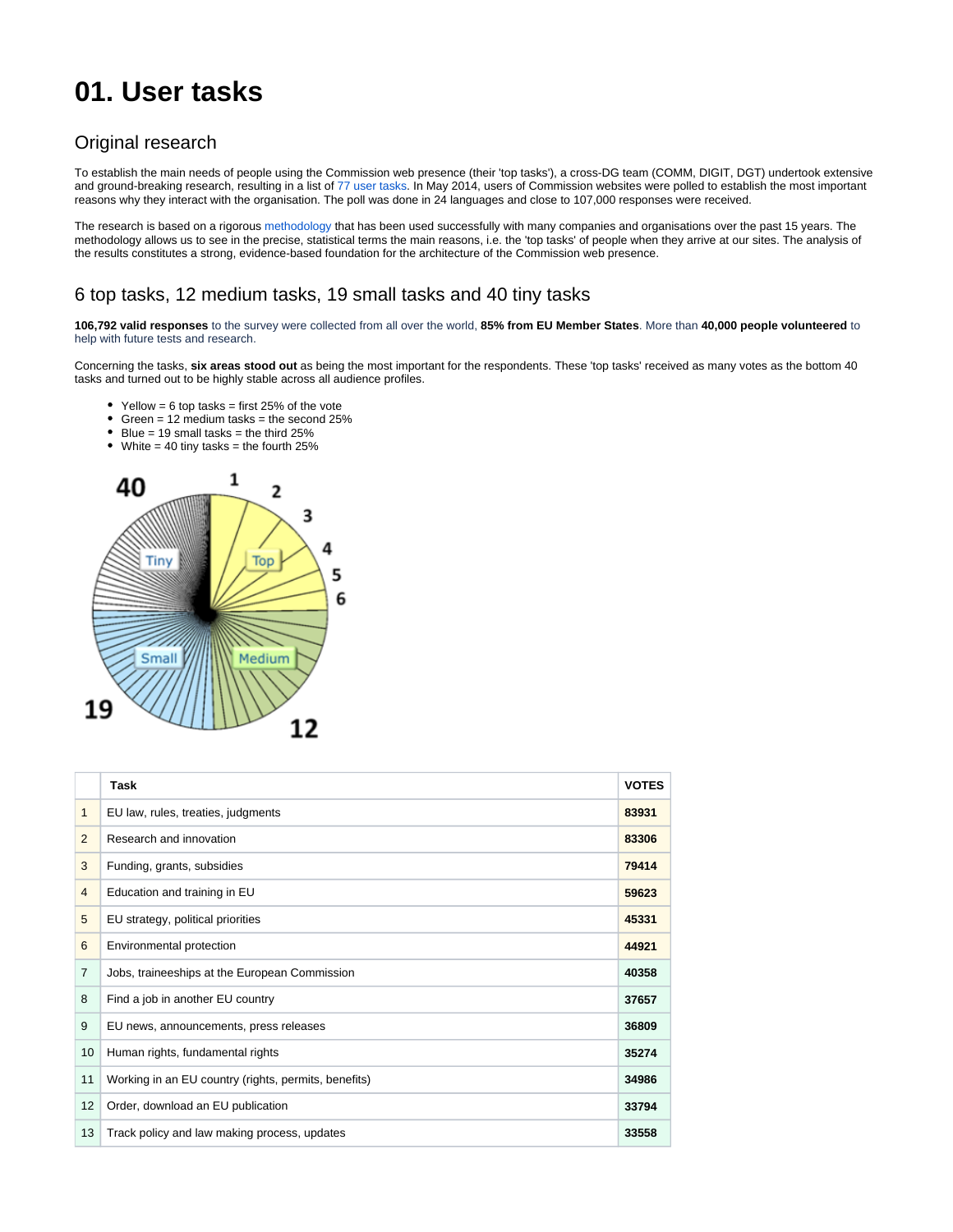# **01. User tasks**

## Original research

To establish the main needs of people using the Commission web presence (their 'top tasks'), a cross-DG team (COMM, DIGIT, DGT) undertook extensive and ground-breaking research, resulting in a list of [77 user tasks](https://wikis.ec.europa.eu/download/attachments/6824627/77%20tasks.pdf?version=1&modificationDate=1567498198103&api=v2). In May 2014, users of Commission websites were polled to establish the most important reasons why they interact with the organisation. The poll was done in 24 languages and close to 107,000 responses were received.

The research is based on a rigorous [methodology](#page-2-0) that has been used successfully with many companies and organisations over the past 15 years. The methodology allows us to see in the precise, statistical terms the main reasons, i.e. the 'top tasks' of people when they arrive at our sites. The analysis of the results constitutes a strong, evidence-based foundation for the architecture of the Commission web presence.

### 6 top tasks, 12 medium tasks, 19 small tasks and 40 tiny tasks

**106,792 valid responses** to the survey were collected from all over the world, **85% from EU Member States**. More than **40,000 people volunteered** to help with future tests and research.

Concerning the tasks, **six areas stood out** as being the most important for the respondents. These 'top tasks' received as many votes as the bottom 40 tasks and turned out to be highly stable across all audience profiles.

- Yellow = 6 top tasks = first 25% of the vote
- Green = 12 medium tasks = the second  $25%$
- $\bullet$  Blue = 19 small tasks = the third 25%
- White  $= 40$  tiny tasks  $=$  the fourth 25%



|                | <b>Task</b>                                          | <b>VOTES</b> |
|----------------|------------------------------------------------------|--------------|
| $\mathbf{1}$   | EU law, rules, treaties, judgments                   | 83931        |
| 2              | Research and innovation                              | 83306        |
| 3              | Funding, grants, subsidies                           | 79414        |
| $\overline{4}$ | Education and training in EU                         | 59623        |
| 5              | EU strategy, political priorities                    | 45331        |
| 6              | Environmental protection                             | 44921        |
| $\overline{7}$ | Jobs, traineeships at the European Commission        | 40358        |
| 8              | Find a job in another EU country                     | 37657        |
| 9              | EU news, announcements, press releases               | 36809        |
| 10             | Human rights, fundamental rights                     | 35274        |
| 11             | Working in an EU country (rights, permits, benefits) | 34986        |
| 12             | Order, download an EU publication                    | 33794        |
| 13             | Track policy and law making process, updates         | 33558        |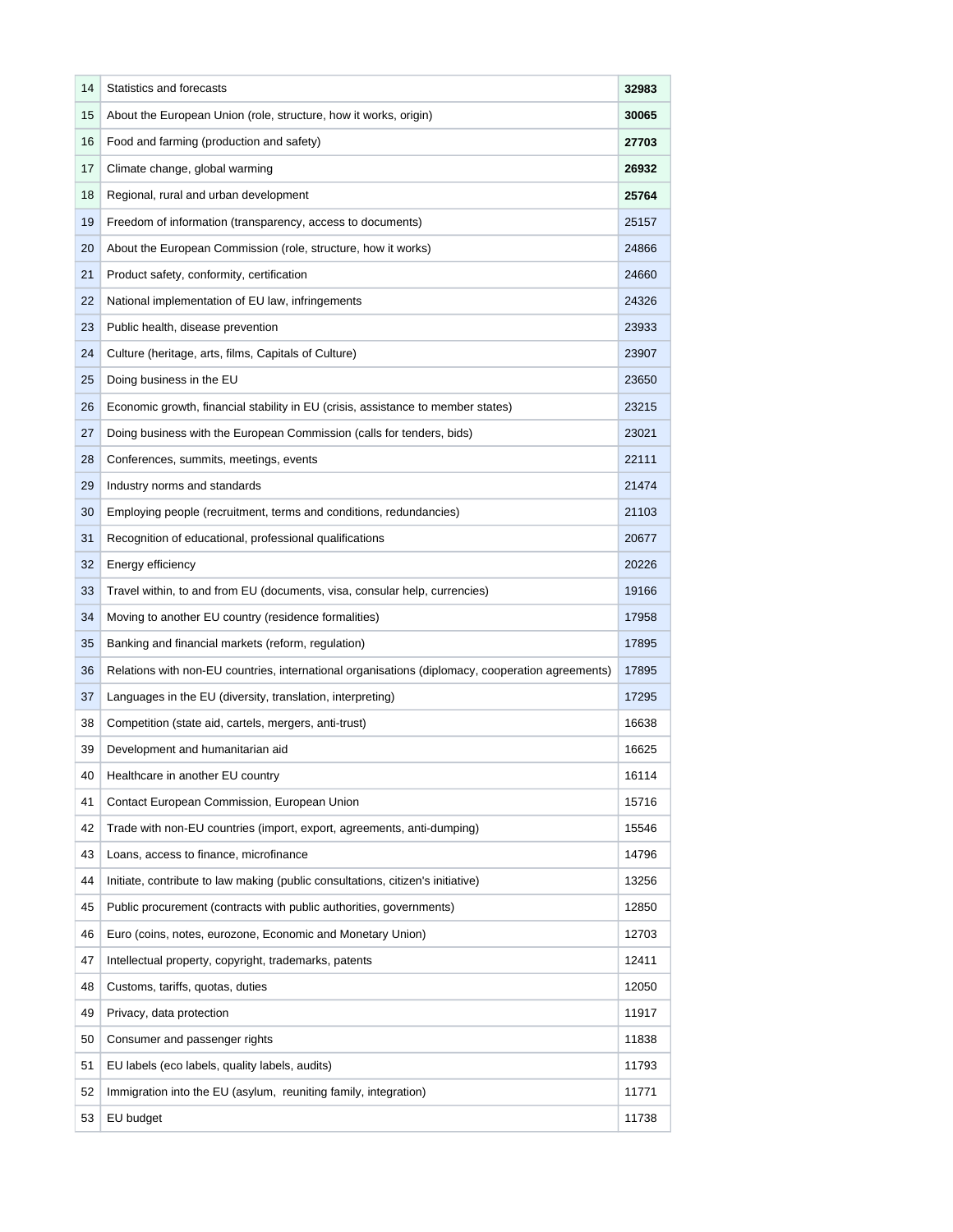| 14 | Statistics and forecasts                                                                                  |       |  |
|----|-----------------------------------------------------------------------------------------------------------|-------|--|
| 15 | About the European Union (role, structure, how it works, origin)                                          |       |  |
| 16 | Food and farming (production and safety)                                                                  |       |  |
| 17 | Climate change, global warming                                                                            |       |  |
| 18 | Regional, rural and urban development                                                                     | 25764 |  |
| 19 | Freedom of information (transparency, access to documents)                                                | 25157 |  |
| 20 | About the European Commission (role, structure, how it works)                                             |       |  |
| 21 | Product safety, conformity, certification                                                                 |       |  |
| 22 | National implementation of EU law, infringements                                                          |       |  |
| 23 | Public health, disease prevention                                                                         |       |  |
| 24 | Culture (heritage, arts, films, Capitals of Culture)                                                      |       |  |
| 25 | Doing business in the EU                                                                                  |       |  |
| 26 | Economic growth, financial stability in EU (crisis, assistance to member states)                          |       |  |
| 27 | Doing business with the European Commission (calls for tenders, bids)                                     |       |  |
| 28 | Conferences, summits, meetings, events                                                                    | 22111 |  |
| 29 | Industry norms and standards                                                                              |       |  |
| 30 | Employing people (recruitment, terms and conditions, redundancies)                                        |       |  |
| 31 | Recognition of educational, professional qualifications                                                   |       |  |
| 32 | Energy efficiency                                                                                         | 20226 |  |
| 33 | Travel within, to and from EU (documents, visa, consular help, currencies)                                |       |  |
| 34 | Moving to another EU country (residence formalities)                                                      | 17958 |  |
| 35 | Banking and financial markets (reform, regulation)                                                        |       |  |
| 36 | Relations with non-EU countries, international organisations (diplomacy, cooperation agreements)<br>17895 |       |  |
| 37 | Languages in the EU (diversity, translation, interpreting)                                                | 17295 |  |
| 38 | Competition (state aid, cartels, mergers, anti-trust)                                                     | 16638 |  |
| 39 | Development and humanitarian aid                                                                          |       |  |
| 40 | Healthcare in another EU country                                                                          |       |  |
| 41 | Contact European Commission, European Union<br>15716                                                      |       |  |
| 42 | Trade with non-EU countries (import, export, agreements, anti-dumping)                                    | 15546 |  |
| 43 | Loans, access to finance, microfinance                                                                    | 14796 |  |
| 44 | Initiate, contribute to law making (public consultations, citizen's initiative)                           | 13256 |  |
| 45 | Public procurement (contracts with public authorities, governments)                                       | 12850 |  |
| 46 | Euro (coins, notes, eurozone, Economic and Monetary Union)                                                | 12703 |  |
| 47 | Intellectual property, copyright, trademarks, patents                                                     | 12411 |  |
| 48 | Customs, tariffs, quotas, duties                                                                          | 12050 |  |
| 49 | Privacy, data protection                                                                                  | 11917 |  |
| 50 | Consumer and passenger rights                                                                             | 11838 |  |
| 51 | EU labels (eco labels, quality labels, audits)                                                            | 11793 |  |
| 52 | Immigration into the EU (asylum, reuniting family, integration)                                           | 11771 |  |
| 53 | EU budget                                                                                                 | 11738 |  |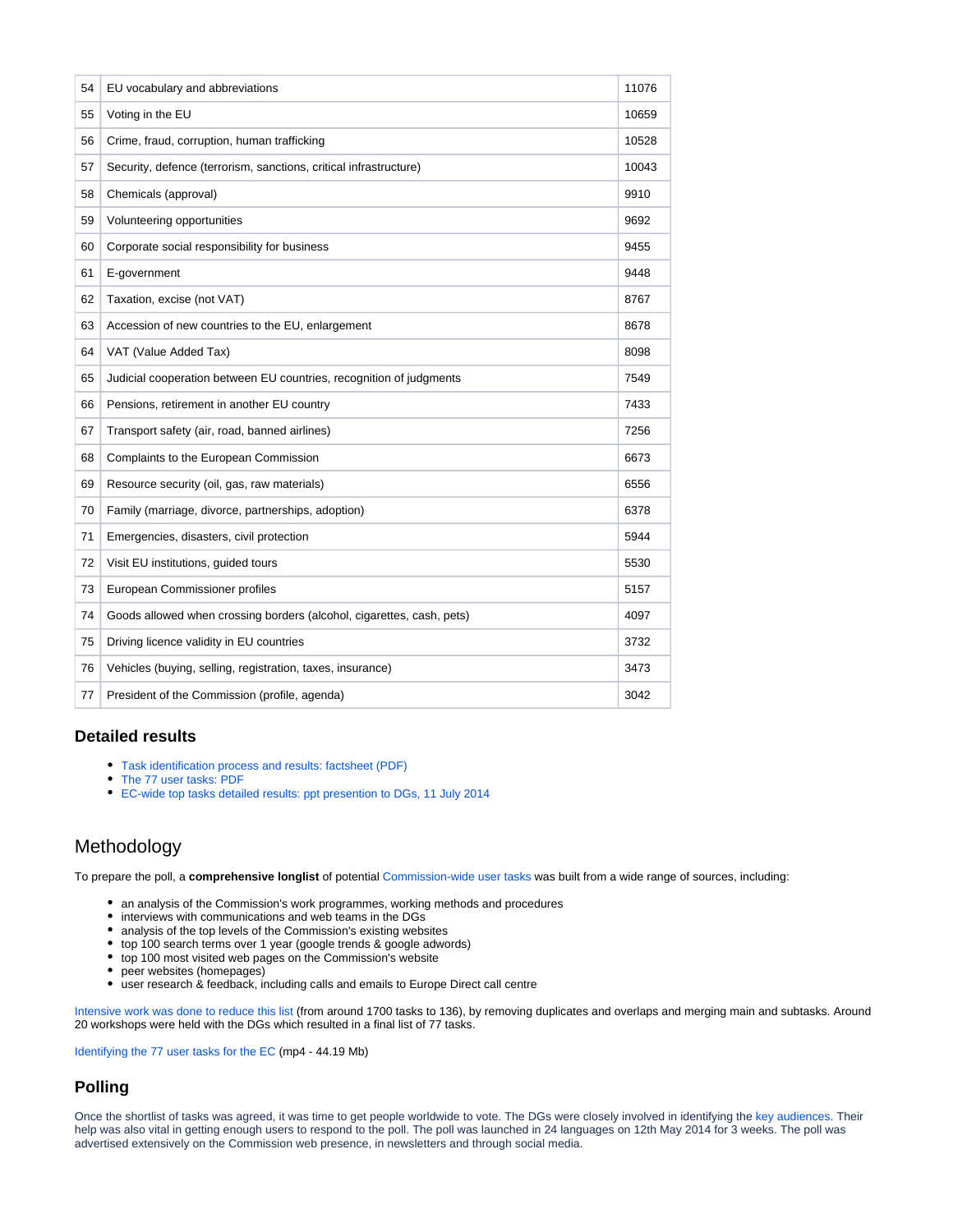| 54 | EU vocabulary and abbreviations                                       | 11076 |
|----|-----------------------------------------------------------------------|-------|
| 55 | Voting in the EU                                                      | 10659 |
| 56 | Crime, fraud, corruption, human trafficking                           | 10528 |
| 57 | Security, defence (terrorism, sanctions, critical infrastructure)     | 10043 |
| 58 | Chemicals (approval)                                                  | 9910  |
| 59 | Volunteering opportunities                                            | 9692  |
| 60 | Corporate social responsibility for business                          | 9455  |
| 61 | E-government                                                          | 9448  |
| 62 | Taxation, excise (not VAT)                                            | 8767  |
| 63 | Accession of new countries to the EU, enlargement                     | 8678  |
| 64 | VAT (Value Added Tax)                                                 | 8098  |
| 65 | Judicial cooperation between EU countries, recognition of judgments   | 7549  |
| 66 | Pensions, retirement in another EU country                            | 7433  |
| 67 | Transport safety (air, road, banned airlines)                         | 7256  |
| 68 | Complaints to the European Commission                                 | 6673  |
| 69 | Resource security (oil, gas, raw materials)                           | 6556  |
| 70 | Family (marriage, divorce, partnerships, adoption)                    | 6378  |
| 71 | Emergencies, disasters, civil protection                              | 5944  |
| 72 | Visit EU institutions, guided tours                                   | 5530  |
| 73 | European Commissioner profiles                                        | 5157  |
| 74 | Goods allowed when crossing borders (alcohol, cigarettes, cash, pets) | 4097  |
| 75 | Driving licence validity in EU countries                              | 3732  |
| 76 | Vehicles (buying, selling, registration, taxes, insurance)            | 3473  |
| 77 | President of the Commission (profile, agenda)                         | 3042  |

#### **Detailed results**

- [Task identification process and results: factsheet \(PDF\)](https://wikis.ec.europa.eu/download/attachments/6824627/factsheet_digital_transformation_user_survey_with_tasks.pdf?version=1&modificationDate=1567498197996&api=v2)
- [The 77 user tasks: PDF](https://wikis.ec.europa.eu/download/attachments/6824627/77%20tasks.pdf?version=1&modificationDate=1567498198103&api=v2)
- [EC-wide top tasks detailed results: ppt presention to DGs, 11 July 2014](https://wikis.ec.europa.eu/download/attachments/6824627/top_task_results_dgs_july_11_2014%20%283%29.pdf?version=1&modificationDate=1569587786868&api=v2)

## <span id="page-2-0"></span>Methodology

To prepare the poll, a **comprehensive longlist** of potential [Commission-wide user tasks w](https://wikis.ec.europa.eu/download/attachments/6824627/the_77_tasks_of_the_european_commission.mp4?version=1&modificationDate=1569504893964&api=v2)as built from a wide range of sources, including:

- an analysis of the Commission's work programmes, working methods and procedures
- interviews with communications and web teams in the DGs
- analysis of the top levels of the Commission's existing websites
- top 100 search terms over 1 year (google trends & google adwords)
- top 100 most visited web pages on the Commission's website
- peer websites (homepages)
- user research & feedback, including calls and emails to Europe Direct call centre

[Intensive work was done to reduce this list](https://wikis.ec.europa.eu/download/attachments/6824627/from_longlist_to_shortlist.mp4?version=1&modificationDate=1567498198057&api=v2) (from around 1700 tasks to 136), by removing duplicates and overlaps and merging main and subtasks. Around 20 workshops were held with the DGs which resulted in a final list of 77 tasks.

[Identifying the 77 user tasks for the EC](https://wikis.ec.europa.eu/download/attachments/6824627/the_77_tasks_of_the_european_commission.mp4?version=1&modificationDate=1569504893964&api=v2) (mp4 - 44.19 Mb)

#### **Polling**

Once the shortlist of tasks was agreed, it was time to get people worldwide to vote. The DGs were closely involved in identifying the [key audiences.](https://wikis.ec.europa.eu/display/WEBGUIDE/02.+Audience+profiles) Their help was also vital in getting enough users to respond to the poll. The poll was launched in 24 languages on 12th May 2014 for 3 weeks. The poll was advertised extensively on the Commission web presence, in newsletters and through social media.